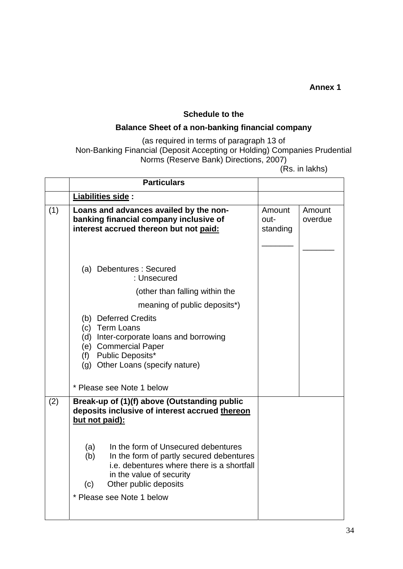## **Annex 1**

### **Schedule to the**

# **Balance Sheet of a non-banking financial company**

### (as required in terms of paragraph 13 of Non-Banking Financial (Deposit Accepting or Holding) Companies Prudential Norms (Reserve Bank) Directions, 2007)

(Rs. in lakhs)

|     | <b>Particulars</b>                                                                                                                                                                                                                                                                                                                                       |                            |                   |
|-----|----------------------------------------------------------------------------------------------------------------------------------------------------------------------------------------------------------------------------------------------------------------------------------------------------------------------------------------------------------|----------------------------|-------------------|
|     | Liabilities side :                                                                                                                                                                                                                                                                                                                                       |                            |                   |
| (1) | Loans and advances availed by the non-<br>banking financial company inclusive of<br>interest accrued thereon but not paid:                                                                                                                                                                                                                               | Amount<br>out-<br>standing | Amount<br>overdue |
|     | (a) Debentures : Secured<br>: Unsecured                                                                                                                                                                                                                                                                                                                  |                            |                   |
|     | (other than falling within the                                                                                                                                                                                                                                                                                                                           |                            |                   |
|     | meaning of public deposits <sup>*</sup> )                                                                                                                                                                                                                                                                                                                |                            |                   |
|     | (b) Deferred Credits<br>(c) Term Loans<br>(d) Inter-corporate loans and borrowing<br>(e) Commercial Paper<br>(f) Public Deposits*<br>(g) Other Loans (specify nature)                                                                                                                                                                                    |                            |                   |
|     | * Please see Note 1 below                                                                                                                                                                                                                                                                                                                                |                            |                   |
| (2) | Break-up of (1)(f) above (Outstanding public<br>deposits inclusive of interest accrued thereon<br>but not paid):<br>In the form of Unsecured debentures<br>(a)<br>In the form of partly secured debentures<br>(b)<br>i.e. debentures where there is a shortfall<br>in the value of security<br>Other public deposits<br>(c)<br>* Please see Note 1 below |                            |                   |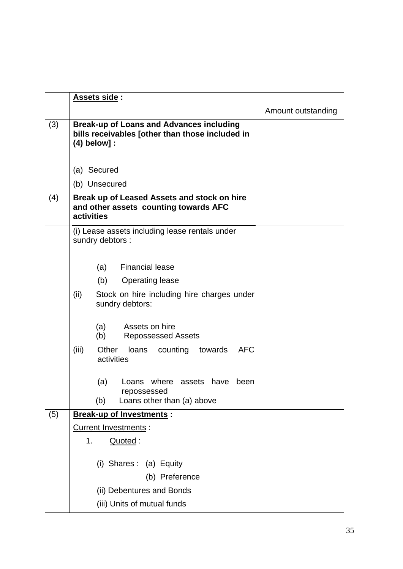|     | Assets side:                                                                                                         |                    |
|-----|----------------------------------------------------------------------------------------------------------------------|--------------------|
|     |                                                                                                                      | Amount outstanding |
| (3) | <b>Break-up of Loans and Advances including</b><br>bills receivables [other than those included in<br>$(4)$ below] : |                    |
|     | (a) Secured                                                                                                          |                    |
|     | (b) Unsecured                                                                                                        |                    |
| (4) | Break up of Leased Assets and stock on hire<br>and other assets counting towards AFC<br>activities                   |                    |
|     | (i) Lease assets including lease rentals under<br>sundry debtors :                                                   |                    |
|     | (a) Financial lease                                                                                                  |                    |
|     | (b)<br><b>Operating lease</b>                                                                                        |                    |
|     | (ii)<br>Stock on hire including hire charges under<br>sundry debtors:                                                |                    |
|     | Assets on hire<br>(a)<br>(b)<br><b>Repossessed Assets</b>                                                            |                    |
|     | (iii)<br><b>AFC</b><br>Other<br>counting<br>towards<br>loans<br>activities                                           |                    |
|     | (a)<br>Loans where assets have<br>been<br>repossessed                                                                |                    |
|     | Loans other than (a) above<br>(b)                                                                                    |                    |
| (5) | <b>Break-up of Investments:</b>                                                                                      |                    |
|     | Current Investments :                                                                                                |                    |
|     | 1.<br>Quoted:                                                                                                        |                    |
|     | (i) Shares: (a) Equity<br>(b) Preference                                                                             |                    |
|     | (ii) Debentures and Bonds                                                                                            |                    |
|     | (iii) Units of mutual funds                                                                                          |                    |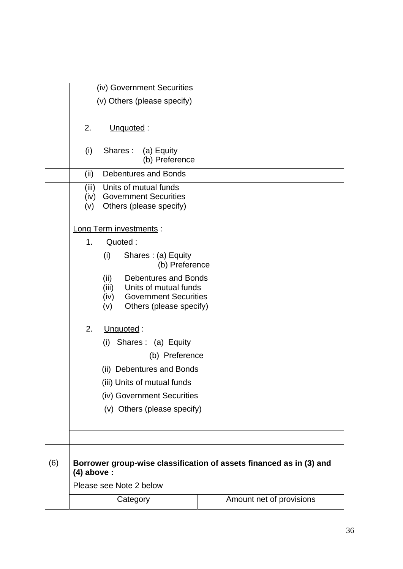|     |                         | (iv) Government Securities                                             |  |                          |
|-----|-------------------------|------------------------------------------------------------------------|--|--------------------------|
|     |                         | (v) Others (please specify)                                            |  |                          |
|     |                         |                                                                        |  |                          |
|     | 2.                      | Unquoted:                                                              |  |                          |
|     |                         |                                                                        |  |                          |
|     | (i)                     | Shares: (a) Equity                                                     |  |                          |
|     |                         | (b) Preference                                                         |  |                          |
|     | (ii)                    | <b>Debentures and Bonds</b>                                            |  |                          |
|     | (iii)                   | Units of mutual funds                                                  |  |                          |
|     | (v)                     | (iv) Government Securities<br>Others (please specify)                  |  |                          |
|     |                         |                                                                        |  |                          |
|     |                         | Long Term investments :                                                |  |                          |
|     | 1.                      | Quoted:                                                                |  |                          |
|     |                         | (i)<br>Shares: (a) Equity                                              |  |                          |
|     |                         | (b) Preference                                                         |  |                          |
|     |                         | (ii)<br><b>Debentures and Bonds</b>                                    |  |                          |
|     |                         | (iii)<br>Units of mutual funds                                         |  |                          |
|     |                         | <b>Government Securities</b><br>(iv)<br>Others (please specify)<br>(v) |  |                          |
|     |                         |                                                                        |  |                          |
|     | 2.                      | Unquoted:                                                              |  |                          |
|     |                         | (i) Shares: (a) Equity                                                 |  |                          |
|     |                         | (b) Preference                                                         |  |                          |
|     |                         | (ii) Debentures and Bonds                                              |  |                          |
|     |                         | (iii) Units of mutual funds                                            |  |                          |
|     |                         | (iv) Government Securities                                             |  |                          |
|     |                         | (v) Others (please specify)                                            |  |                          |
|     |                         |                                                                        |  |                          |
|     |                         |                                                                        |  |                          |
|     |                         |                                                                        |  |                          |
| (6) | $(4)$ above :           | Borrower group-wise classification of assets financed as in (3) and    |  |                          |
|     | Please see Note 2 below |                                                                        |  |                          |
|     |                         | Category                                                               |  | Amount net of provisions |
|     |                         |                                                                        |  |                          |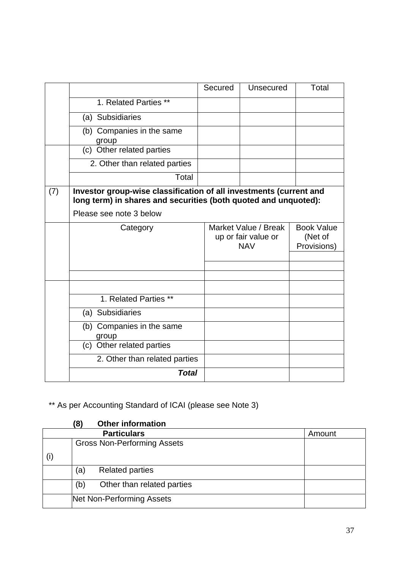|     |                                                                                                                                       | Secured | Unsecured                                                 | Total |
|-----|---------------------------------------------------------------------------------------------------------------------------------------|---------|-----------------------------------------------------------|-------|
|     | 1. Related Parties **                                                                                                                 |         |                                                           |       |
|     | (a) Subsidiaries                                                                                                                      |         |                                                           |       |
|     | (b) Companies in the same<br>group                                                                                                    |         |                                                           |       |
|     | (c) Other related parties                                                                                                             |         |                                                           |       |
|     | 2. Other than related parties                                                                                                         |         |                                                           |       |
|     | Total                                                                                                                                 |         |                                                           |       |
| (7) | Investor group-wise classification of all investments (current and<br>long term) in shares and securities (both quoted and unquoted): |         |                                                           |       |
|     | Please see note 3 below                                                                                                               |         |                                                           |       |
|     | Category                                                                                                                              |         | Market Value / Break<br>up or fair value or<br><b>NAV</b> |       |
|     |                                                                                                                                       |         |                                                           |       |
|     |                                                                                                                                       |         |                                                           |       |
|     |                                                                                                                                       |         |                                                           |       |
|     | 1. Related Parties **                                                                                                                 |         |                                                           |       |
|     | (a) Subsidiaries                                                                                                                      |         |                                                           |       |
|     | (b) Companies in the same<br>group                                                                                                    |         |                                                           |       |
|     | (c) Other related parties                                                                                                             |         |                                                           |       |
|     | 2. Other than related parties                                                                                                         |         |                                                           |       |
|     | <b>Total</b>                                                                                                                          |         |                                                           |       |

\*\* As per Accounting Standard of ICAI (please see Note 3)

|  | <b>Other information</b><br>(8)    |  |
|--|------------------------------------|--|
|  | Amount                             |  |
|  | <b>Gross Non-Performing Assets</b> |  |
|  |                                    |  |
|  | <b>Related parties</b><br>(a)      |  |
|  | Other than related parties<br>(b)  |  |
|  | Net Non-Performing Assets          |  |